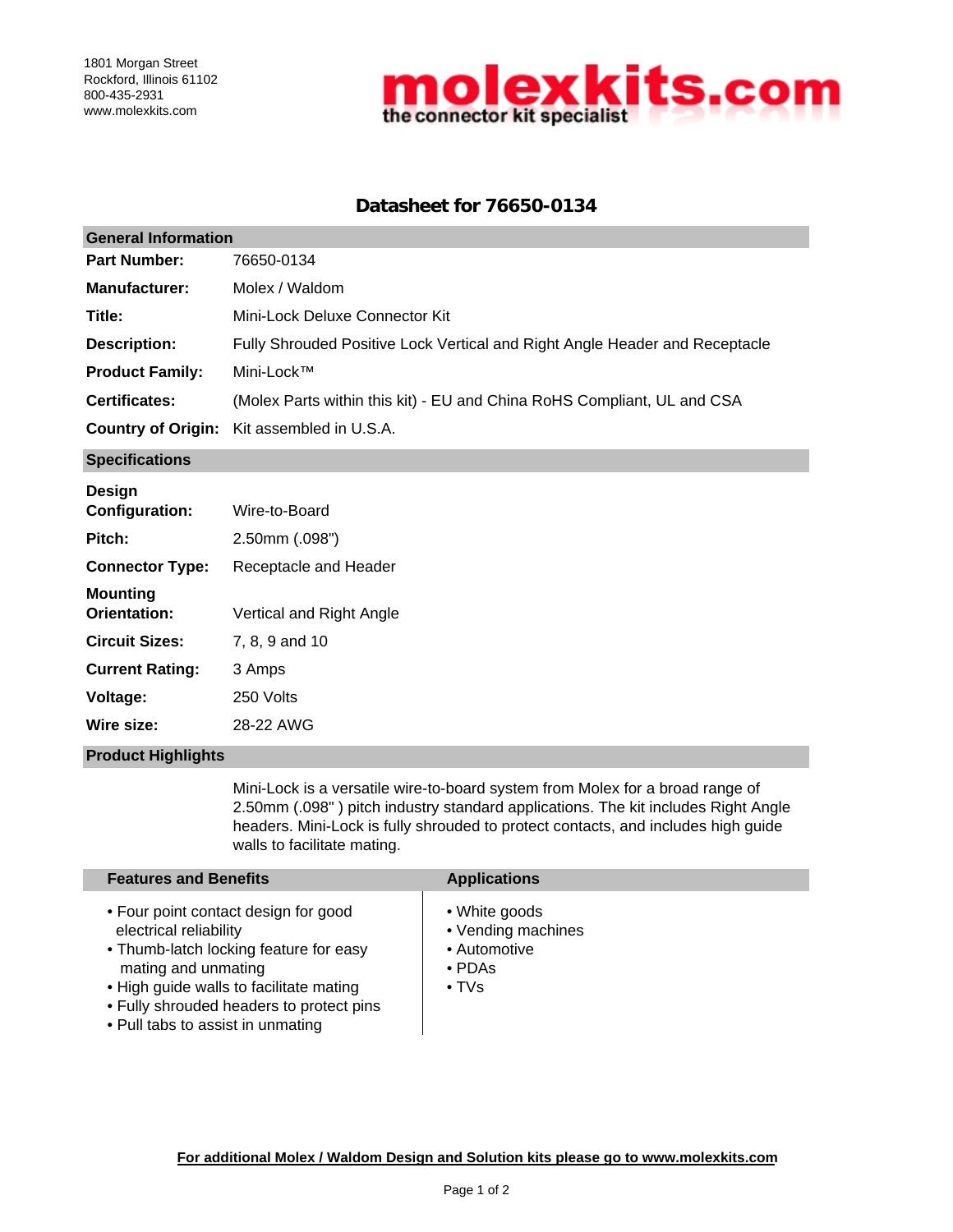

# **Datasheet for 76650-0134**

| <b>General Information</b> |                                                                             |  |  |  |
|----------------------------|-----------------------------------------------------------------------------|--|--|--|
| <b>Part Number:</b>        | 76650-0134                                                                  |  |  |  |
| <b>Manufacturer:</b>       | Molex / Waldom                                                              |  |  |  |
| Title:                     | Mini-Lock Deluxe Connector Kit                                              |  |  |  |
| <b>Description:</b>        | Fully Shrouded Positive Lock Vertical and Right Angle Header and Receptacle |  |  |  |
| <b>Product Family:</b>     | Mini-Lock™                                                                  |  |  |  |
| <b>Certificates:</b>       | (Molex Parts within this kit) - EU and China RoHS Compliant, UL and CSA     |  |  |  |
|                            | <b>Country of Origin:</b> Kit assembled in U.S.A.                           |  |  |  |
|                            |                                                                             |  |  |  |

### **Specifications**

| <b>Design</b>            |                          |
|--------------------------|--------------------------|
| <b>Configuration:</b>    | Wire-to-Board            |
| Pitch:                   | $2.50$ mm $(.098")$      |
| <b>Connector Type:</b>   | Receptacle and Header    |
| Mounting<br>Orientation: | Vertical and Right Angle |
| <b>Circuit Sizes:</b>    | 7, 8, 9 and 10           |
| <b>Current Rating:</b>   | 3 Amps                   |
| <b>Voltage:</b>          | 250 Volts                |
| Wire size:               | 28-22 AWG                |
|                          |                          |

#### **Product Highlights**

Mini-Lock is a versatile wire-to-board system from Molex for a broad range of 2.50mm (.098" ) pitch industry standard applications. The kit includes Right Angle headers. Mini-Lock is fully shrouded to protect contacts, and includes high guide walls to facilitate mating.

| <b>Features and Benefits</b>                                                                                                                                                                                                                                | <b>Applications</b>                                                                |
|-------------------------------------------------------------------------------------------------------------------------------------------------------------------------------------------------------------------------------------------------------------|------------------------------------------------------------------------------------|
| • Four point contact design for good<br>electrical reliability<br>• Thumb-latch locking feature for easy<br>mating and unmating<br>• High guide walls to facilitate mating<br>• Fully shrouded headers to protect pins<br>• Pull tabs to assist in unmating | • White goods<br>• Vending machines<br>• Automotive<br>$\cdot$ PDAs<br>$\cdot$ TVs |